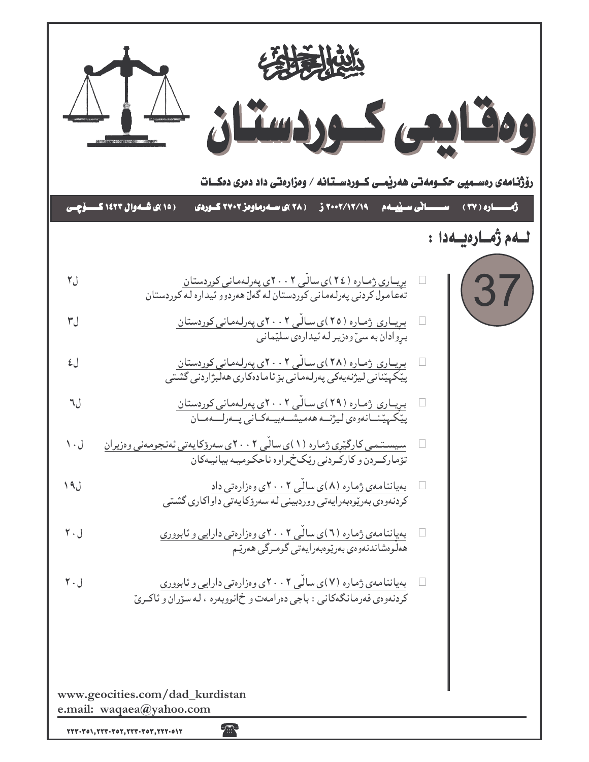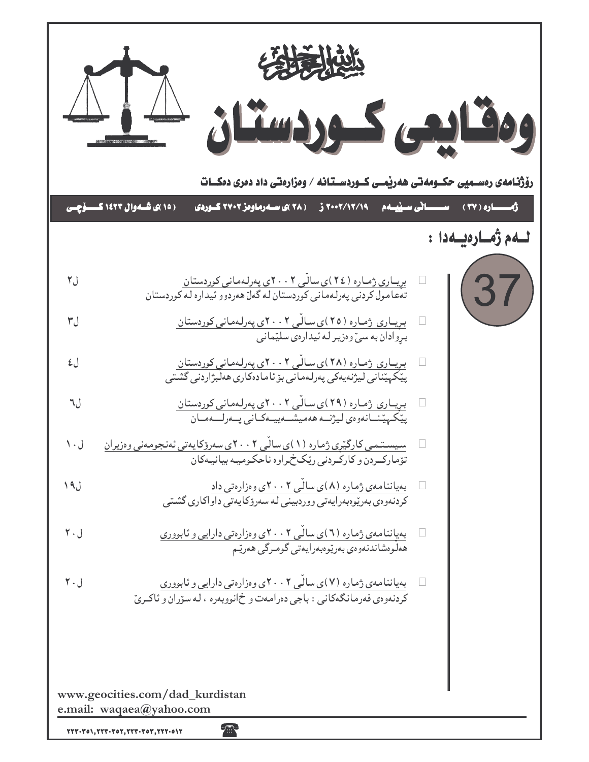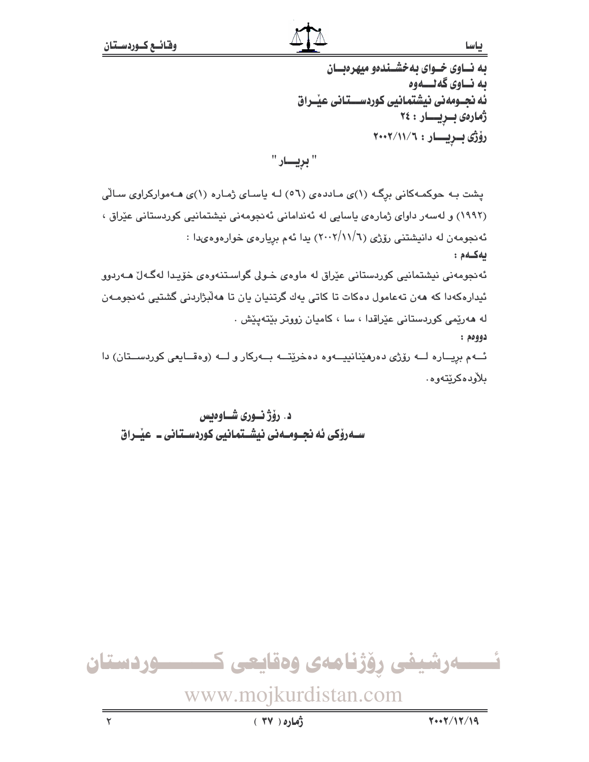به نساوی خسوای به خشسندهو میهرهبسان ىه نــاوى گەلــــەوە ئه نحـومهني نيشتمانيي كوردســـتاني عنــراق ژمارەى بىريسار : ٢٤ رۆژى بىريسار: ٢٠٠٢/١١/٢

" بريسار "

پشت به حوکمهکانی برگ (۱)ی ماددهی (٥٦) لـه پاسای ژماره (۱)ی هـهموارکراوی سالی (۱۹۹۲) و لهسهر داوای ژمارهی یاسایی له ئهندامانی ئهنجومهنی نیشتمانیی کوردستانی عیّراق ، ئهنجومهن له دانیشتنی رۆژی (۲۰۰۲/۱۱/٦) یدا ئهم بریارهی خوارهوهیدا : ىەكسەم:

ئەنجومەنى نيشتمانيي كوردستاني عێراق لە ماوەي خـولى گواسـتنەوەي خۆپـدا لەگـەلٚ ھـەردوو ئيدارەكەدا كە ھەن تەعامول دەكات تا كاتى يەك گرتنيان يان تا ھەلىژاردنى گشتيى ئەنجومـەن له هەرێمى كوردستانى عێراقدا ، سا ، كاميان زووتر بێتەيێش . دوومم:

ئــهم بريــاره لــه رۆژى دەرهێنانييــهوه دەخرێتــه بــهركار و لــه (وەقــايعى كوردســتان) دا بلأوده كريتهوه.

د. رۆژنسورى شـاوەىس سـهروکی ئه نحـومـهنی نیشـتمانیی کوردسـتانی ـ عیّـراق



باسا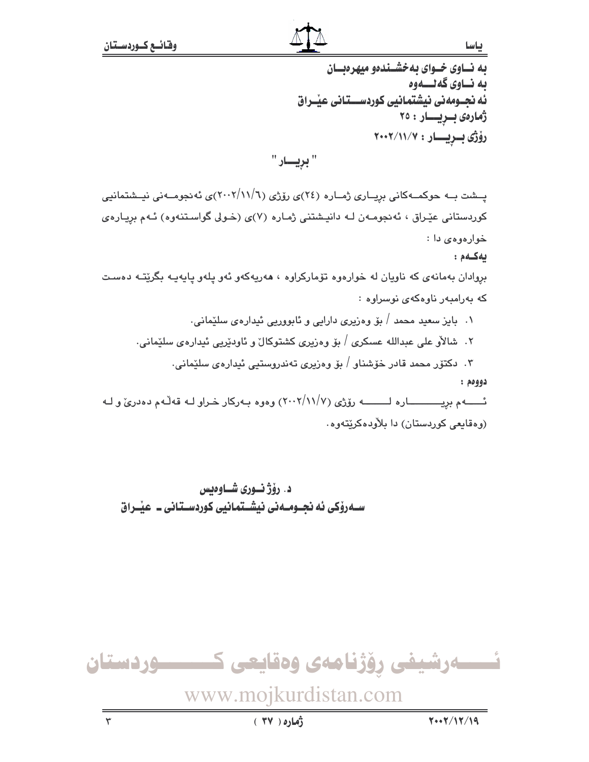به نساوی خسوای به خشسندهو میهرهبسان به نساوي گەنسسەوە ئه نحـومهني نيشتمانيي كوردســـتاني عنــراق ژمارەى بىريسار : ٢٥ رۆژى بىريسار: ٢٠٠٢/١١/٧

" بريسار "

پسشت بــه حوکمــهکانی برِیــاری ژمــاره (٢٤)ی رۆژی (١/١١/١٦)/٢)ی ئهنجومــهنی نیــشتمانیی کوردستانی عیّراق ، ئه نجومه ن له دانیشتنی ژماره (۷)ی (خولی گواستنهوه) ئهم بریارهی خوارهوهي دا : ىەكـەم:

بروادان بهمانهی که ناویان له خوارهوه تۆمارکراوه ، ههریهکهو ئهو یلهو یایهیـه بگریّتـه دهسـت که بهرامبهر ناوهکهی نوسراوه :

- ۰۱ بایز سعید محمد / بۆ وەزیری دارایی و ئابووریی ئیدارەی سلێمانی٠
- ٢. شالأو علي عبدالله عسکري / بۆ وەزیری کشتوکالّ و ئاودێریی ئیدارەی سلێمانی.
	- ۴. دکتۆر محمد قادر خۆشناو / بۆ وەزیری تەندروستیی ئیدارەی سلێمانی.

 $:$   $0.994$ 

ئـــــهم بريـــــــــــــاره لــــــــــه رۆژى (٢٠٠٢/١١/٧) وهوه بــهركار خـراو لــه قهڵـهم دهدريّ و لــه (وهقايعي کوريستان) دا پلاويدهکريتهوه.

د. رۆژنسورى شـاوەىس سـهروْکی ئه نجــومــهنی نیشــتمانیی کوردسـتانی ــ عیْــراق

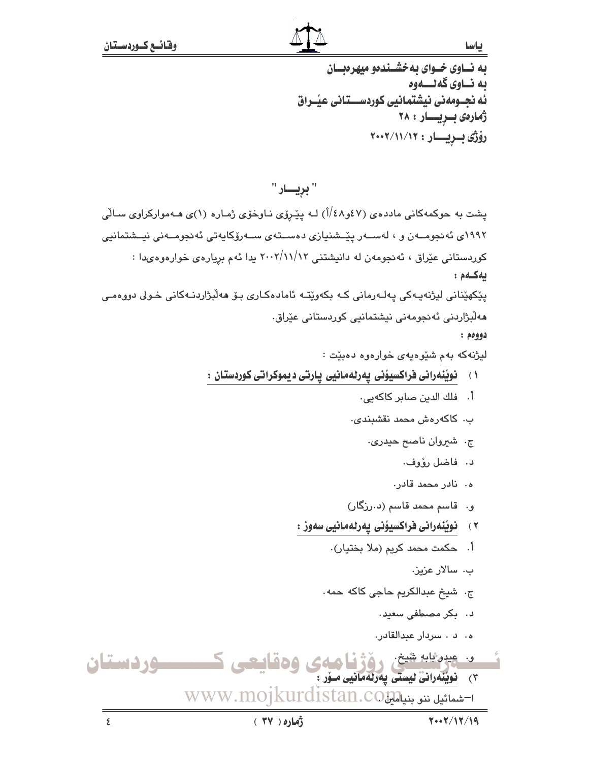### باسا

به نساوی خسوای به خشسندهو میهرهبسان به نساوي گەنسسەوە ئه نحـومهني نيشتمانيي كوردســـتاني عنــراق ژمارەى بىريسار : ۲۸ رۆژى بەيسار: ٢٠٠٢/١١/١٢

" بريـــــــــار "

یشت به حوکمهکانی ماددهی (۶۷هِ۱/٤/أ) لـه ییّـروّی نـاوخوّی ژمـاره (۱)ی هـهموارکراوی سـالّی ۱۹۹۲ی ئەنجومــەن و ، لەســەر پێــشنیازی دەســتەی ســەرۆکايەتی ئەنجومــەنی نیــشتمانیی کوردستانی عیّراق ، ئەنجومەن لە دانیشتنی ۱۷/۱۱/۱۲ یدا ئەم بریارەی خوارەوەیدا : بهكمم: پێٟکهێنانی لیژنهیـهکی پهلـهرمانی کـه بکهوێتـه ئامادهکـاری بـۆ ههڵبژاردنـهکانی خـولی دووهمـی ھەلىژاردنى ئەنجومەنى نيشتمانيى كوردستانى عێراق٠ دوومم : ليژنهکه بهم شێوهيهي خوارهوه دهبێت : ۱) نوێنەرانى فراكسيۆنى پەرلەمانيى پارتى ديموكراتى كوردستان : أ. فلك الدين صابر كاكهيي. ب. كاكەرەش محمد نقشىبندى. ج. شيروان ناصح حيدري. د. فاضل رؤوف. ه . نادر محمد قادر .

- و. قاسم محمد قاسم (د.رزگار)
- ۲) نویْنەرانی فراکسیۆنی پەرلەمانیی سەوز :
	- أ. حكمت محمد كريم (ملا بختيار).
		- ب. سالار عزیز.
	- ج. شيخ عبدالكريم حاجي كاكه حمه.
		- د. بکر مصطفی سعید.
		- ه. د . سردار عبدالقادر.
- <u>و. عدوثيابه شيخ. روژنسا مسلمي و ه قاييحسي ك</u><br>۳) نويندرانئ نيستن پهرنهمانين سۆر : <u>موردستان</u> ا<sup>–</sup>شمائيل ننو بنيالمايلistan.CO WWW.MOJK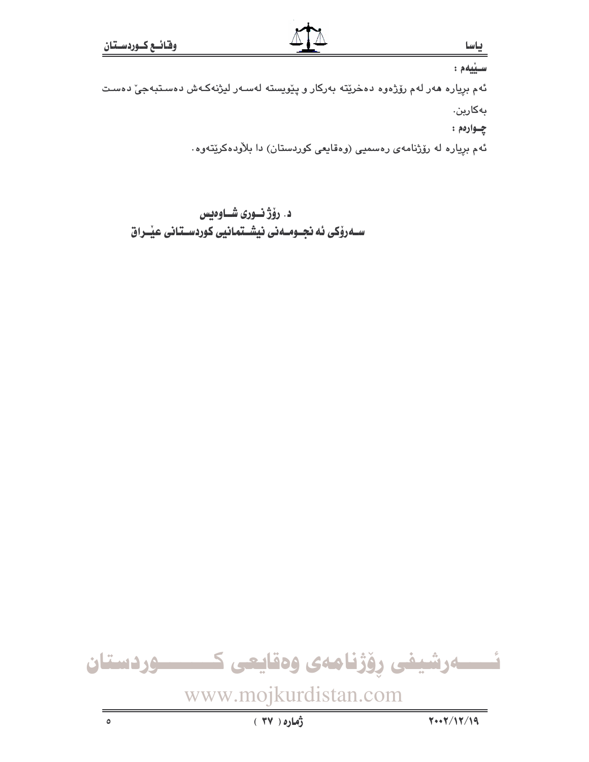سييمم :

ئهم برياره هەر لەم رۆژەوە دەخرێتە بەركار و پێویستە لەسـەر لیژنەكـەش دەسـتبەجىٚ دەسـت

بەكارىن.

چوارهم:

ئهم برِیاره له رۆژنامهی رەسمیی (وەقایعی کوردستان) دا بلاّودەکرێتەوە.

د. رۆژ نورى شـاوەيس ســهرۆکی ئه نجــومــهنی نیشــتمـانیی کوردســتـانی عیّــراق

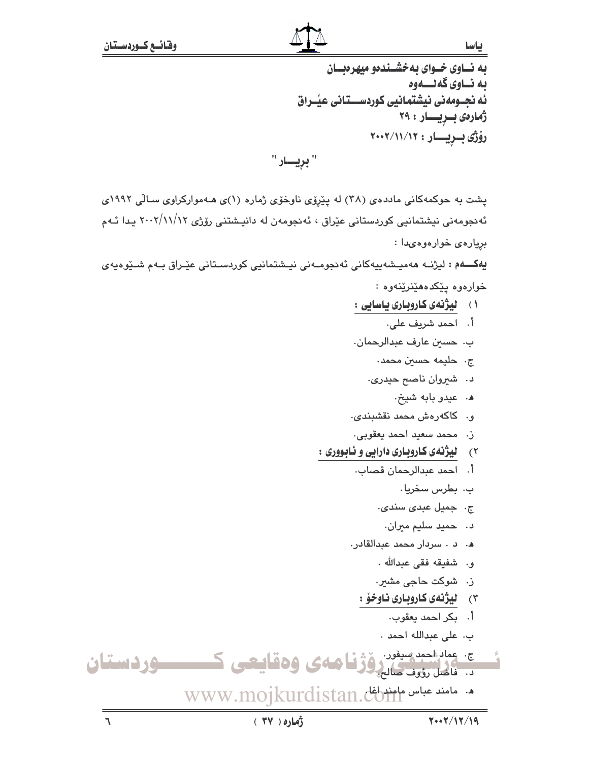باسا

به نساوی خسوای به خشسندهو میهرهبسان ىه نــاوى گەلـــەوە ئه نجــومهني نيشتمـانيي كوردســـتـاني عيْــراق ژمارەى بىريسار : ۲۹ رۆژى بىريسار: ٢٠٠٢/١١/١٢

" بريــــار "

پشت به حوکمهکانی ماددهی (۳۸) له پیّرِیِّی ناوخوّی ژماره (۱)ی هـهموارکراوی سـالّی ۱۹۹۲ی ئەنجومەنى نیشتمانیى كوردستانى عێراق ، ئەنجومەن لە دانیـشتنى رۆژى ۲۰۰۲/۱۱/۱۲ يـدا ئـەم بريارەي خوارەوەيدا :

يەكـــەم : ليژنــه مەميـشەييەكانى ئەنجومــەنى نيـشتمانيى كوردسـتانى عێـراق بــەم شــێوەيەي خوارەوە يێكدەھێنرێنەوە :

- ۰۱) لیژندی کاروباری یاسایی :
	- أ. احمد شريف علي.
- ب. حسين عارف عبدالرحمان.
	- ج. حليمه حسين محمد.
	- د. شیروان ناصح حیدری.
		- ه. عيدو بابه شيخ.
- و. كاكەرەش محمد نقشىبندى.
- ن. محمد سعيد احمد يعقوبي.
- ۲) کیژنهی کاروباری دارایی و نابووری :
	- أ. احمد عبدالرحمان قصاب.
		- ب. بطرس سخريا.
		- ج. جميل عبدى سندى.
		- د، حميد سليم ميران.
	- ه. د . سردار محمد عبدالقادر.
		- و. شفيقه فقى عبدالله .
		- ز. شوكت حاجى مشير.
		- ٣) ليژنهي كاروباري ناوخوْ :
			- اً. بكر احمد يعقوب.
			- ب. على عبدالله احمد .

ج. عماد احمد سیفور.<br>5. فاضل رؤیف صالح فرز فیا همای وه قیاییعی کمیسیسسسور فاستقان

م. مامند عباس مامنداخل www.mojkurdistan.c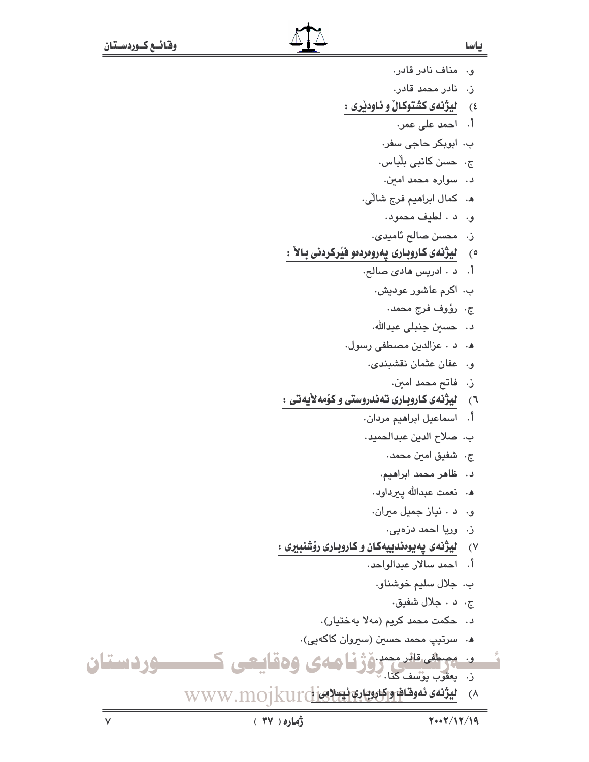- و. مناف نادر قادر.
- ن. نادر محمد قادر. ٤) ليژنهي کشتوکال و ئاودێري :
	- أ. احمد علي عمر.
	- ب، ابوبکر حاجی سفر،
	- ج. حسن کانبی بلّباس.
	- د، -سواره محمد امین.
	- ه. کمال ابراهيم فرج شالّي.
		- و. د . لطيف محمود.
		- ز. محسن صالح ئاميدي.
- ه) ليژنهي كاروباري يهروهردمو فيْركردني بالأ :
	- أ. د . ادريس هادي صالح.
		- ب. اکرم عاشور عودیش.
			- ج. رؤوف فرج محمد.
		- د. حسين جنبلي عبدالله.
	- ه. د. عزالدين مصطفى رسول.
		- و. عفان عثمان نقشبندي.
			- ز. فاتح محمد امي*ن.*
- ٦) لیژنهی کاروباری تهندروستی و کۆمهلایهتی :
	- اً، اسماعيل ابراهيم مردان،
	- ب. صلاح الدين عبدالحميد.
		- ج. شفيق امين محمد.
		- د، -ظاهر محمد ابراهیم.
		- ه. نعمت عبدالله ييرداود.
		- و. د . نياز جميل ميران.
			- ز. وريا احمد دزەبى.
- ۷) لیژنمی یهیوهندییهکان و کاروباری رؤشنبیری :
	- أ. احمد سالار عبدالواحد.
		- ب. جلال سليم خوشناو.
			- ج. د . جلال شفيق.
	- د. حكمت محمد كريم (مهلا بهختيار).
	- <mark>ه. سرتيپ محمد حسين (سيروان کاکهيي).</mark>
- د مصطفى قائد محمد <mark>وَرُّ فَ</mark>اهه على وَه قَايِنَهُ عَلَى كَ ـــــوردستان
	- ٨) ليژندى نه وقاف و كارويا بى نيسلامى في WWW.mojkurc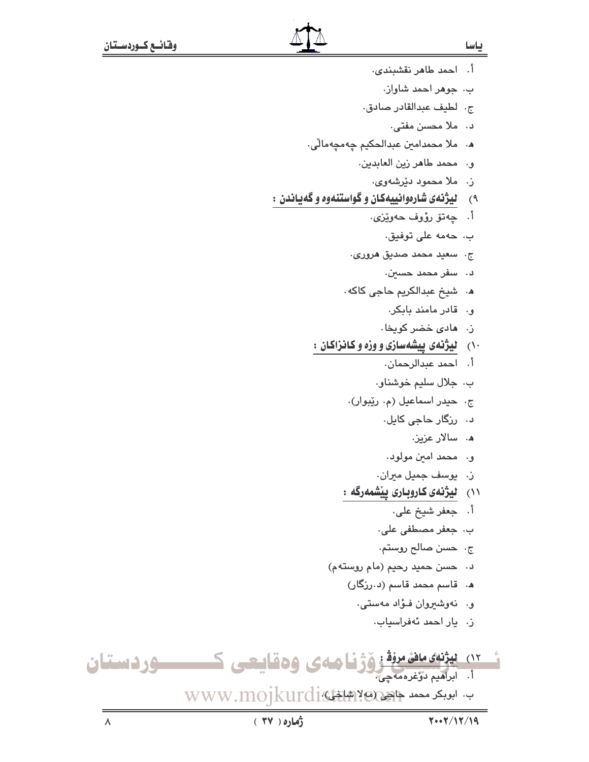أ. احمد طاهر نقشبندى. ب، جوهر احمد شاواز. ج. لطيف عبدالقادر صادق. د. ملا محسن مفتی. ه. ملا محمدامين عبدالحکيم چهمچهمالي. و. محمد طاهر زين العابدين. ز. ملا محمود دنیرشهوی. ۹) لیژنهی شارهوانییهکان و گواستنهوه و گهیاندن : أ. چەتۆ رۇوف ھەويْزى. ب. حەمە على توفيق. ج. سعيد محمد صديق هروري. د، اسفر محمد حسين، ه. شيخ عبدالكريم حاجي كاكه. و. قادر مامند بابکر. ز. مادی خضر کویخا. ۰۰) لیژنهی پیشهسازی و وزه و کانزاکان : أ. احمد عبدالرحمان. ب. جلال سليم خوشناو. ج. حيدر اسماعيل (م. رێبوار). د، ارزگار حاجی کابل. ه، اسالار عزیز. ق- محمد امين مولود. ز. یوسف جمیل میران. ۱۱) لیژنهی کاروباری ییشمهرگه : أ. جعفر شيخ علي. ب، لجعفر مصطفى على، ج، حسن صالح روستم. د. حسن حميد رحيم (مام روستهم) ه. قاسم محمد قاسم (د رزگار) و. نەوشىروان فىؤاد مەستى. ز. يار احمد ئەفراسياب.

ئى 12) يېۋنە مان مرفق قرار قامەي ۋەقايىسى كىسىستىلى كىسىستىلىن ب. ابوبكر محمد جاج WWW.mojkurdi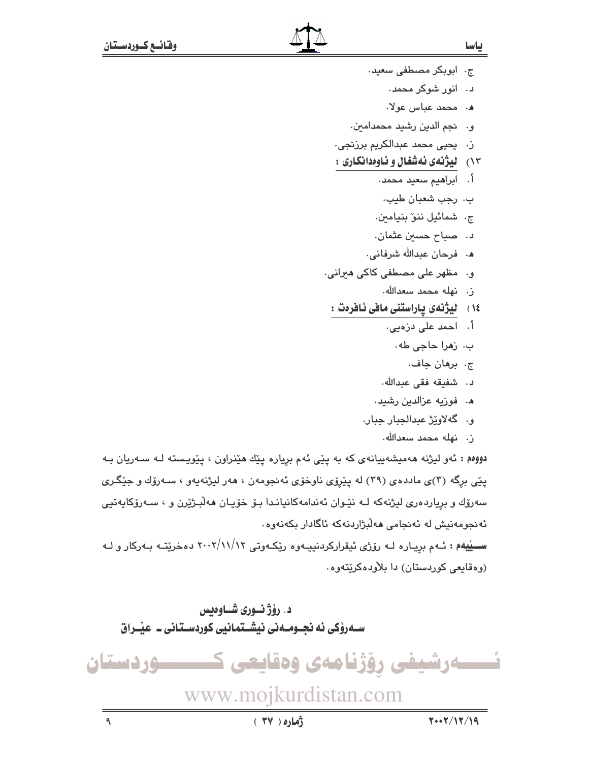- ج. ابوبکر مصطفی سعید. د. انور شوکر محمد. ه. محمد عباس عولا. و. نجم الدين رشيد محمدامين. ز. یحیی محمد عبدالکریم برزنجی. ۰۱۳) لیژنمی نهشغال و ناوهدانکاری : اً، - ابراهيم سعيد محمد، ب. رجب شعبان طيب. ج. شمائيل ننو بنيامين. د. صباح حسين عثمان. ه. فرحان عبدالله شرفاني. و. مظهر على مصطفى كاكي هيراني. ن. - نهله محمد سعدالله. ١٤ ) ليژنەى پاراستنى مافى ئافرەت :
	- اً. احمد على دزەيى.
		- ب، زهرا حاجي طه،
			- ج. برهان جاف.
		- د. شفيقه فقي عبدالله.
		- ه. فوزيه عزالدين رشيد.
	- و. گهلاوێژ عبدالجبار جبار.
		- ز. نهله محمد سعدالله.

دووهم : ئەو ليژنه ھەميشەييانەي كە بە پێى ئەم برِيارە پێك ھێنراون ، پێويستە لـه سـەريان بـه پێی بږگه (۳)ی ماددهی (۳۹) له پێږۆی ناوخۆی ئهنجومهن ، ههر لیژنهیهو ، سـهرۆك و جێگـری سەرۆك و برياردەرى ليژنەكە لــه نێـوان ئەندامەكانيانـدا بـۆ خۆيـان ھەلبـژێرن و ، سـەرۆكايەتيى ئەنجومەنيش لە ئەنجامى ھەلىژاردنەكە ئاگادار بكەنەوە.

سسیفیهم : ئـهم بریـاره لـه رۆژى ئیقراركردنییـهوه ریكـهوتى ٢٠٠٢/١١/١٢ دهخریتـه بـهركار و لـه (وهقايعي كوردستان) دا بلأودهكريتهوه.

د. رۆژنسورى شــاوەبس ســهروٰکی ئه نجــومــهنی نیشــتمـانیی کوردســتـانی ــ عیّــراق



# www.mojkurdistan.com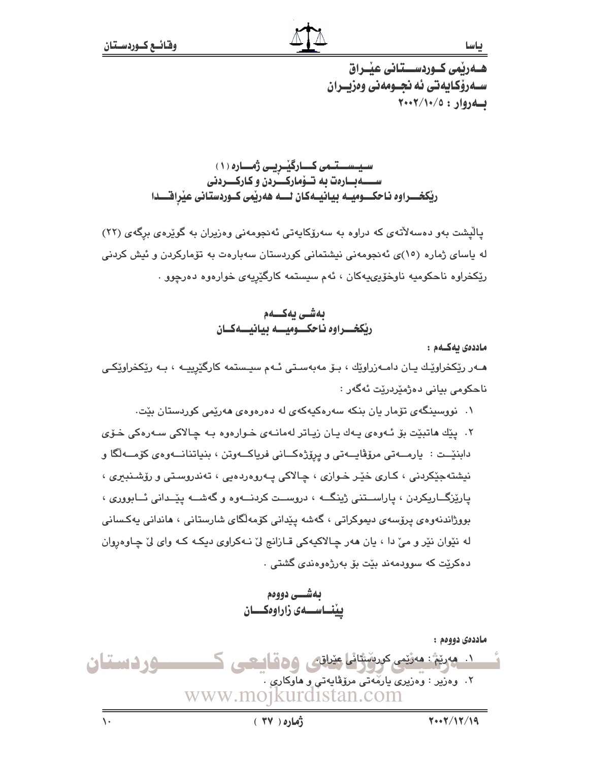هـهرنمي كـوردســتاني عنراق ســهروکـابـهتي ئه نجــومهني وهزيــران بهروار: ٢٠٠٢/١٠/٥

سیستمی کارگیریی ژماره (۱) ســـــهـبـــارەت بـه تـــۆمـاركـــــٰردن و كـاركـــــردنى 

یالیشت بهو دهسهلاتهی که دراوه به سهرۆکایهتی ئهنجومهنی وهزیران به گویرهی برگهی (۲۲) له پاسای ژماره (١٥)ی ئەنجومەنى نیشتمانى كوردستان سەبارەت بە تۆماركردن و ئیش كردنى ريکخراوه ناحکوميه ناوخۆپىيەکان ، ئەم سيستمە کارگێريەي خوارەوە دەرچوو .

> بەشى يەكـــەم ريكخـــراوه نـاحكــــوميـــــه بيـانيـــــهكـــان

> > ماددەى ئەكتەم:

هــهر رێِکخراوێـك پـان دامــهزراوێِك ، بـۆ مەبەسـتى ئــهم سیـستمه کارگێرییـه ، بـه رێِکخراوێِکـی ناحکومي بياني دەژمێردرێت ئەگەر :

۰۱ نووسینگهی تۆمار یان بنکه سهرهکیهکهی له دهرهوهی ههریمی کوردستان بیّت. ٢. يێك ماتبێت بۆ ئـهوەي يـهك يـان زيـاتر لهمانـهي خـوارەوه بـه چـالاكي سـهرەكي خـۆي دابنێــت : يارمـــهتي مرۆۋاپـــهتي و پرۆژەكـــاني فرياكـــهوتن ، بنياتنانـــهوهي كۆمـــهڵگا و نیشتهجێکردنی ، کـاری خێـر خـوازی ، چـالاکی پـهروهردهیی ، تهندروسـتی و رۆشـنبیری ، يارێزگــاريکردن ، پاراســتني ژينگــه ، دروســت کردنــهوه و گهشــه پێــداني ئــابووري ، بووژاندنەوەي پرۆسەي دىموكراتى ، گەشە پێدانى كۆمەلگاي شارستانى ، ھاندانى پەكسانى له نٽوان نٽر و مئ دا ، پان ههر چالاکيهکي قـازانج ليٰ نـهکراوي ديکـه کـه واي ليٰ چـاوهروان دەكرىت كە سوۋدمەند بېت بۆ بەرژەۋەندى گشتى .

> بەشـــى دووەم يينساسمك زاراوهكسان

ماددەي دووەم : <u>۱. مەرىش مەزىمى كورەنشانى مىراقىمى بوھ قامىھىي ك</u> **می دوستان** ۲. وەزىر : وەزىرى يارمّەتى مرۆۋايەتى و ھاوكارى . www.mojkurdistan.com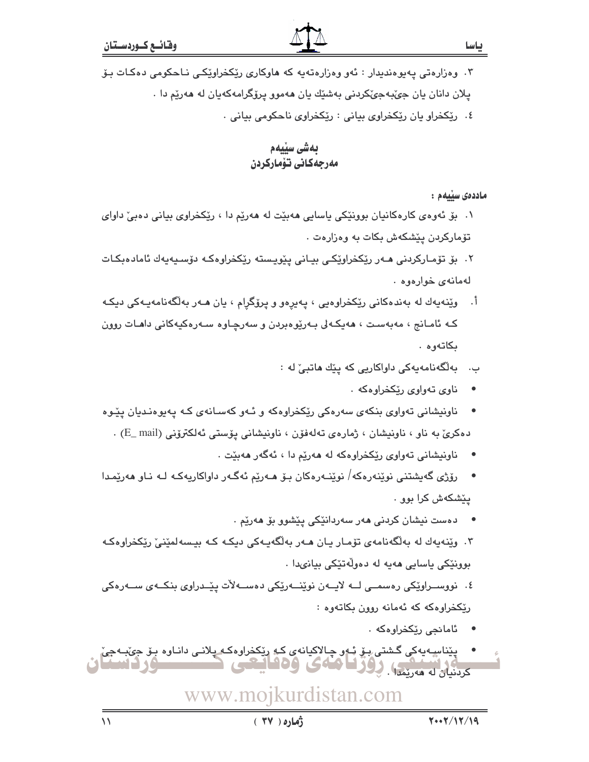۳. وەزارەتى يەيوەندىدار : ئەو وەزارەتەيە كە ھاوكارى رێكخراوێكى نـاحكومى دەكـات بـۆ يلان دانان يان جيٌبهجيٌكردني بهشێك يان ههموو پرۆگرامهكهيان له هەرێم دا . ٤. رێِکخراو یان رێِکخراوی بیانی : رێِکخراوی ناحکومی بیانی ٠

> بەشى سىيەم مەرجەكانى تۆماركردن

> > ماددەي سىيەم :

- ۰۱ بۆ ئەوەي كارەكانيان بوونێكى ياسايى ھەبێت لە ھەرێم دا ، رێكخراوى بيانى دەبى داواى تۆماركردن پێشكەش بكات بە وەزارەت .
- ۲. بۆ تۆمـاركردنى ھـﻪر رێكخراوێكـى بيـانى پێويـسته رێكخراوەكـﻪ دۆسـيەيەك ئامادەبكـات لەمانەي خوارەوە .
- اً. وێنەپەك لە بەندەكانى رێڬخراوەيى ، پەيرەو و پرۆگرام ، يان ھـەر بەلٚگەنامەپـەكى دېكـە کـه ئامـانج ، مەبەسـت ، ھەيكـەلى بـەرێوەبردن و سەرچـاوە سـەرەكيەكانى داھـات روون ىكاتەوھ.
	- ب۰ بەلگەنامەيەكى داواكاريى كە يێك ھاتبىٚ لە :
		- ناوی تەواوى رێكخراوەكە .  $\bullet$
- ناونیشانی تەواوی بنکەی سەرەکی رێکخراوەکە و ئـەو کەسـانەی کـە پەيوەنـديان پێوە دەكرى بە ناو ، ناونيشان ، ژمارەي تەلەڧۆن ، ناونيشانى يۆستى ئەلكترۆنى (E\_ mail) .
	- ناونیشانی تهواوی ریکخراوهکه له ههریم دا ، ئهگهر هه ندت .  $\bullet$
- رۆژى گەيشتنى نوێنەرەكە/ نوێنـەرەكان بـۆ ھـەرێم ئەگـەر داواكاريەكـە لـە نـاو ھەرێمـدا يٽشكەش كرا بوو .
	- دەست نيشان كردنى ھەر سەردانێكى پێشوو بۆ ھەرێم .

۰۳ وێنەپەك لە بەلگەنامە*ی* تۆمـار يـان ھـەر بەلگەيـەكى دىكـە كـە بيـسەلمێنى*ٰ* رێڬخراوەكـە بوونٽکي پاسايي ههيه له دهولهتٽکي بيانيدا .

٤. نووسـراوێکی رەسمـی لــه لایــەن نوێنــەرێکی دەســەلآت یێــدراوی بنکــەی ســەرەکی رێِکخراوهکه که ئهمانه روون بکاتهوه :

- ئامانجى ريكخراوەكە .
- يٽناسيهبهکي گشتي پٽي پُـهو چـالاکيانهي کـه ريٽکخراوهکـهـيلانـي دانـاوه بـۆ جيٽبـهجيّ **کردنیان له مەریمدا . زوز امام ای و 100 مىل .**

# www.mojkurdistan.com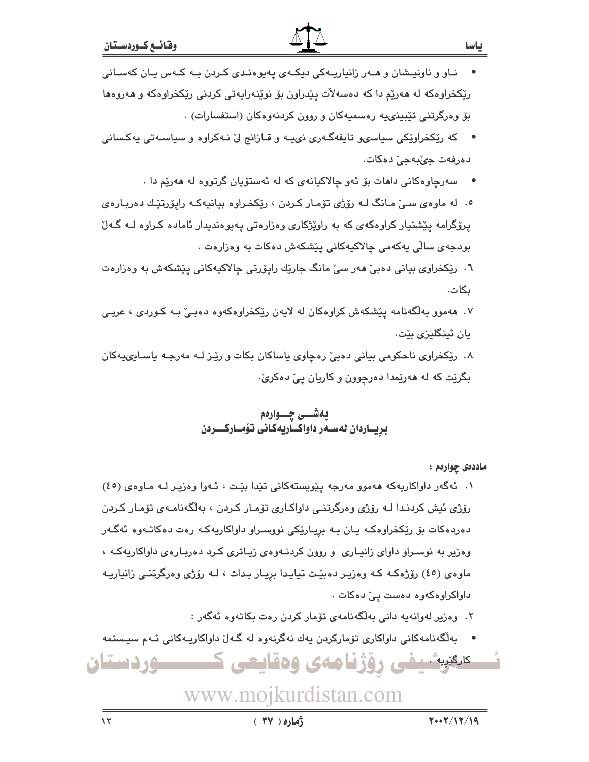- که ريکخراويکي سياسيو تايفهگـهري نيميـه و قـازانج ليّ نـهکراوه و سياسـهتي پهکساني  $\bullet$ دەرفەت حىُيەجىِّ دەكات.
	- سهرچاوهکانی داهات بۆ ئەو چالاکیانەی کە لە ئەستۆپان گرتووه لە ھەرێم دا .  $\bullet$

٥. له ماوهي سے ٘مانگ لـه رۆژى تۆمـار كـردن ، ريكخـراوه بيانيهكـه رايۆرتێـك دەريـارەي پرۆگرامه پیشنیار کراوهکهی که به راویژکاری وهزارهتی پهیوهندیدار ئاماده کراوه لـه گـهلٌ بودجەی سالّى يەكەمى چالاكيەكانى يێشكەش دەكات بە وەزارەت .

٦. رێِکخراوی بیانی دهبیٚ هەر سیٚ مانگ جارێك رایۆرتی چالاکیەکانی یێشکەش بە وەزارەت ىكات.

- ۰۷ ههموو بهالگهنامه پێشکهش کراوهکان له لایهن رێکخراوهکهوه دهبے، بـه کـوردی ، عربـی يان ئېنگليزى بێت.
- ۰۸ رێکخراوی ناحکومی بیانی دهبیٚ رهچاوی یاساکان بکات و رێـز لـه مهرجـه یاسـایىپیهکان بگريّت که له ههريمدا دهرچوون و کاريان يئ دهکرئ.

## بەشىي چىسوارەم بريساردان لەسىەر داواكساريەكانى تۆمساركسىردن

ماددهي چوارهم :

- ۰۱ ئەگەر داواكاريەكە ھەموو مەرجە پێویستەكانی تێدا بێت ، ئـەوا وەزیـر لــه مـاوەی (٤٥) رۆژى ئېش كردنىدا لــه رۆژى وەرگرتنــى داواكـارى تۆمـار كـردن ، بەلگەنامــەي تۆمـار كـردن دهردهکات بۆ ریکخراوهکه یان بـه بریـاریکی نووسـراو داواکاریهکـه رهت دهکاتـهوه ئهگـهر وهزیر به نوسراو داوای زانیاری و روون کردنهوهی زیاتری کرد دهربارهی داواکاریهکه ، ماوهي (٤٥) رۆژەكـه كـه وەزيـر دەبيّـت تيايـدا بريـار بـدات ، لـه رۆژى وەرگرتنــى زانياريـه داواکراوهکەوە دەست يىّ دەكات .
	- ۲. وەزیر لەوانەیە دانی بەلگەنامەی تۆمار كردن رەت بكاتەوە ئەگەر :
- بەلگەنامەكانى داواكارى تۆماركردن يەك نەگرنەوە لە گەلّ داواكاريـەكانى ئـەم سيـستمە

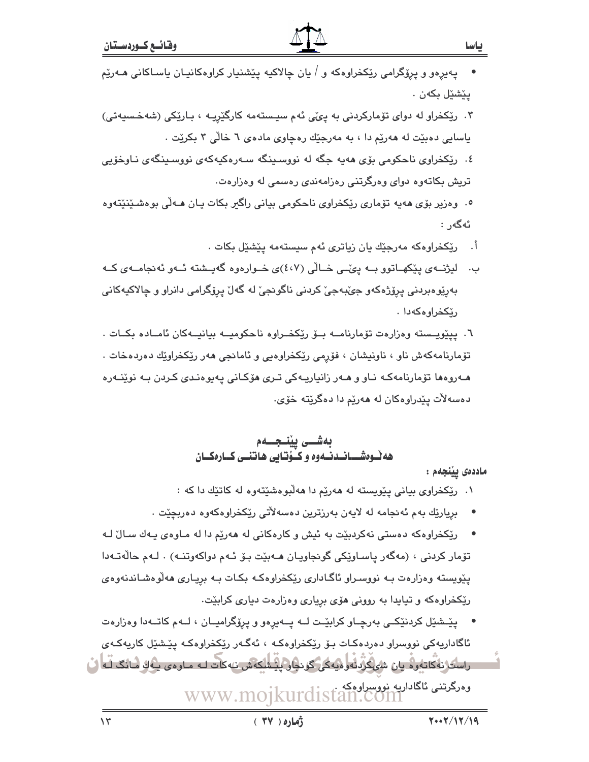# يهيرهو و پرۆگرامي رێِکخراوهکه و / يان چالاکيه پێشنيار کراوهکانيـان ياسـاکاني هــهرێم يٽشٽل بکهن . ۴. رێِکخراو له دوای تۆمارکردنی به ییۡی نُهم سیستهمه کارگێریـه ، بـارێِکی (شهخـسیهتی)

ياسايي دهبيّت له ههريم دا ، به مهرجيّك رهجاوي مادهي ٦ خالّي ٣ بكريّت . ٤. رێکخراوي ناحکومي بۆي هەيە جگە لە نووسىينگە سـەرەکيەکەي نووسىينگەي نـاوخۆيى

تریش بکاتەوە دوای وەرگرتنی رەزامەندی رەسمی لە وەزارەت.

٥. وەزير بۆي ھەيە تۆمارى رێكخراوى ناحكومى بيانى راگير بكات يان ھـﻪلى بوەشێنێتەوە ئەگەر :

- اً . رێڬخراوهکه مەرجێك يان زياترى ئەم سيستەمە يێشێل بکات .
- ب. لیژنــهی پێکهــاتوو بــه ییمّــی خــالّی (٤،٧)ی خــوارهوه گهیــشته ئــهو ئهنجامــهی کــه بەرێوەبردنى پرۆژەكەو جىؒبەجىؒ كردنى ناگونجیؒ لە گەلؒ پرۆگرامى دانراو و چالاكپەكانى ریکخراوه که دا .
- ٦. پيٽويـسته وهزارهت تۆمارنامــه بــۆ رێڬضـراوه ناحكوميــه بيانيــهكان ئامــاده بكــات . تۆمارنامەكەش ناو ، ناونیشان ، فۆرمى رێكخراوەيى و ئامانجى ھەر رێكخراوێك دەردەخات . مـهروهها تۆمارنامەكـه نـاو و مـهر زانياريـهكى تـرى مۆكـانى يـهيوەنـدى كـردن بـه نوێنـهره دهسهلات پێدراوهکان له ههرێم دا دهگرێته خۆی.

## بەشىي يېنىجىم هه نـْـوەشـــانــدنــهوه و كــوتـايى هـاتـنــى كــارەكــان

ماددەى يېنجەم :

- ۰۱ ريکخراوی بيانی يێويسته له ههريم دا ههلبوهشيتهوه له کاتيك دا که :
- بريارێك بهم ئەنجامە لە لايەن بەرزترين دەسەلاتى رێكخراوەكەوە دەربچێت .
- رێکخراوهکه دهستی نهکردبێت به ئیش و کارهکانی له ههرێم دا له مـاوهی پـهك سـالٌ لـه تۆمار كردنى ، (مەگەر ياساوێكى گونجاويان ھـەبێت بـۆ ئـەم دواكەوتنـە) . لـەم حالەتـەدا ینویسته وهزارهت بـه نووسـراو ئاگـاداری ریکخراوهکـه بکـات بـه بریـاری ههلوهشـاندنهوهی ریکخراوهکه و تیایدا به روونی هۆی بریاری وهزارهت دیاری کرابیت.
- یٽـشێل کردنێکـی بهرچـاو کرابێـت لــه یــهیرهو و پرۆگرامیـان ، لــهم کاتــهدا وهزارهت ئاگاداريەكى نووسراو دەردەكات بىۆ رێكخراوەكە ، ئەگەر رێكخراوەكە يێشێل كاريەكەي راسک(نەکاتەرە يان شىركزىلەرەيەگى گۈنجار پیشلكەش نەكات لـە مـارەي يـەك مانگ لـە ل

ىەرگىتنى ئاگاداريە نووسراوەكە WWW.mojkurdistan.com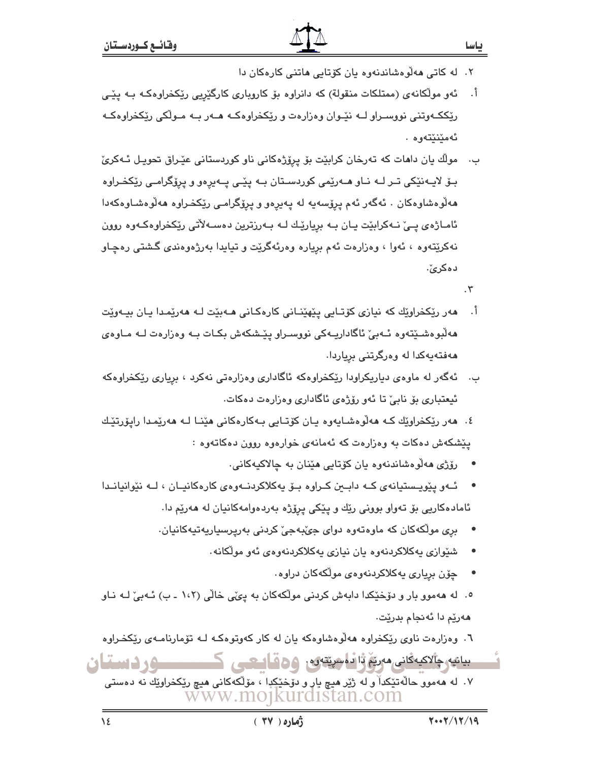- أ. ئەو مولّكانەي (ممتلكات منقولة) كە دانراوە بۆ كاروبارى كارگێريى رێكخراوەكـە بـە يێـى رێِککـﻪوتنی نووسـراو لــﻪ نێـوان وهزارهت و رێِکخراوهکـﻪ هـﻪر بـﻪ مـولّکی رێِکخراوهکـﻪ ئەمێنێتەوە .
- مولَّك بان دامات كه تەرخان كرابێت بۆ پرۆژەكانى ناو كوردستانى عێراق تحويـل ئـﻪكرىّ بـۆ لايـهنێکی تـر لــه نــاو هــهرێمی کوردســتان بــه يێـی پــهورهو و پرۆگرامـی رێکخـراوه مەلوەشاوەكان . ئەگەر ئەم يرۆسەيە لە يەيرەو و يرۆگرامى ر<u>ێ</u>كخىراوە مەلوەشـاوەكەدا ئامـاژهى پـی نـهکرابێت یـان بـه برِیارێـك لـه بـهرزترین دهسـهلأتی رێکخراوهکـهوه روون نهکرێتهوه ، ئەوا ، وەزارەت ئەم بريارە وەرئەگرێت و تياپدا بەرژەوەندى گشتى رەڃاو دەكرىٰ َ
	- $\cdot$   $\mathsf{r}$
- هەر ريكخراويّك كە نيازى كۆتـايى يـيْهيْنـانى كارەكـانى ھـەبيّت لـه ھەريّمـدا يـان بيـەويّت أ. هەلبوەشىيتەوە ئـەبى ئاگاداريـەكى نووسىراو ييشكەش بكـات بـە وەزارەت لـە مـاوەي هەفتەيەكدا لە وەرگرتنى برياردا.
- ئەگەر لە ماوەي دېاريكراودا رێكخراوەكە ئاگادارى وەزارەتى نەكرد ، بريارى رێكخراوەكە ب. ئيعتباري بۆ نابې تا ئەو رۆژەي ئاگادارى وەزارەت دەكات.
- ٤. ھەر رێڬخراوێك كـﻪ ھەڵوەشـايەوە يـان كۆتـايى بـﻪكارەكانى ھێنـﺎ ﻟـﻪ ھەرێمـدا رايۆرتێـك ينشكهش دهكات به وهزارهت كه ئهمانهى خوارهوه روون دهكاتهوه :
	- رۆژې ھەلوەشاندنەوە يان كۆتايى ھێنان بە چالاكيەكانى.
- ئــهو پێویـسىتيانهى كــه دابــين كــراوه بــۆ پهكلاكردنــهوهى كارەكانيــان ، لــه نێوانيانــدا ئامادەكارىي بۆ تەواو بوونى رێك و پێكى پرۆژە بەردەوامەكانيان لە ھەرێم دا.
	- بري مولکهکان که ماوهتهوه دوای جي به جي کردني بهرپرسپاريهتيهکانيان.
		- شێوازی پهکلاکردنهوه پان نیازی پهکلاکردنهوهی ئهو مولکانه.
			- چۆن بريارى يەكلاكردنەوەي مولكەكان دراوە.
- ٥. له ههموو بار و دۆخێکدا دابەش کردنی مولّکەکان بە يېمّی خالّی (١،٢ ـ ب) ئـهبیٚ لـه نـاو هەرێم دا ئەنجام بدرێت٠

٦. وهزارهت ناوی ریکخراوه ههلوهشاوهکه یان له کار کهوتوهکه لـه توّمارنامـهی ریکخـراوه بيانيە چالاكيەكانى مەرىغ ئالاممىيىتەي، 60 قامىسى ك 

۰۷ له ههموو حالهتێکداّ و له ژێِر هیچ بار و دو٘خێکدا ، مۆلکهکانی هیچ رێکخراوێك نه دهستی www.mojkurdistan.com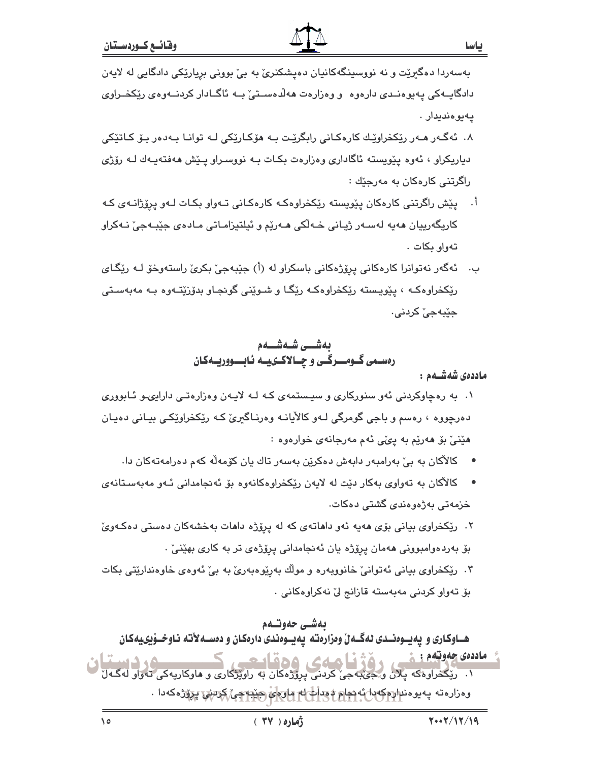بهسهردا دهگیریت و نه نووسینگهکانیان دهیشکنریّ به بیّ بوونی بریاریکی دادگایی له لایهن دادگایــهکی یهیوهنـدی دارهوه ووهزارهت ههلّدهسـتیّ بــه ناگــادار کردنــهوهی ریّکخــراوی يەيوەنديدار .

۸. ئەگـەر مـەر رێكخراوێـك كارەكـانى رابگرێـت بـە مۆكـارێكى لـە توانـا بـەدەر بـۆ كـاتێكى دپاريکراو ، ئەوە پێويستە ئاگادارى وەزارەت بکات بـه نووسىراو پـێش ھەفتەپـەك لـه رۆژى راگرتنی کارهکان به مەرجێك :

- اً. پێش راگرتنی کارهکان پێویسته رێکخراوهکه کارهکانی تـهواو بکـات لـهو پرۆژانـهى کـه کاريگەرييان مەيە لەسـەر ژيـانى خـەلّكى مـەرێم و ئيلتيزامـاتى مـادەي جێبـەجێ نـەکراو تەواو بكات .
- ب. ئەگەر نەتوانرا كارەكانى پرۆژەكانى باسكراو لە (أ) جێبەجىٚ بكرىٰ راستەوخۆ لـە رێگـاى رێِکخراوهکـه ، پێویسته رێِکخراوهکـه رێِگـا و شـوێِنی گونجـاو بدۆزێِتـهوه بـه مهبهسـتی جێبەجىٰ كردنى.

# ىەشـــى شـەشــەم رهسمي گــومـــرگــي و چــالاکــىيــه ئـابــــووريــهكـان

ماددەى شەشــەم :

- ۰۱ به رهچاوکردنی ئهو سنورکاری و سیستمهی که لـه لایـهن وهزارهتـی دارایىـو ئـابووری دهرچووه ، رهسم و باجي گومرگي لـهو کالآيانـه وهرنـاگيريّ کـه ريّکخراويّکـي بيـاني دهيـان هێنیٚ بۆ هەرێم بە يىِّی ئەم مەرجانەی خوارەوە :
	- كالآكان به بے ٘ بەرامبەر دابەش دەكرێن بەسەر تاك يان كۆمەڵە كەم دەرامەتەكان دا.
- کالآکان به تهواوی بهکار دیت له لایهن ریکخراوهکانهوه بو ئه نجامدانی ئـهو مهبهسـتانهی خزمەتى پەژەۋەندى گشتى دەكات.

۲. ريکخراوي بياني بۆي هەيە ئەو داھاتەي کە لە پرۆژە داھات بەخشەکان دەستى دەكـەوئ بۆ بەردەوامبوونى ھەمان پرۆژە يان ئەنجامدانى پرۆژەي تر بە كارى بھێنى٘ ٠

۰۳ رێکخراوی بیانی ئەتوانیٚ خانووبەرە و مولّك بەرێوەبەریٚ بە بیٚ ئەوەی خاوەندارێتی بکات بۆ تەواو كردنى مەبەستە قازانج لىٰ نەكراوەكانى .

# بەشى حەوتىەم

هـــاوكـاري و يهيــوەنــدي لهگـــهـلٌ وهزارهته يهيـــوهندي دارهكـان و دهســـهـلأتـه نــاوخـــۆيىيهكـان

ماددهي حدوتهم : \* دوی جمودهم :<br>۱۰ - ریکخراوه که پلان و جېبهجې کردنی پروژهکان به راویژگاری و هاوکاریهکی تهواو لهگـهال وهزارهته پهيوهندارمکهدا به دوام دودات له مارو<mark>ي جێججئ کردښ پرو</mark>ژهکهدا .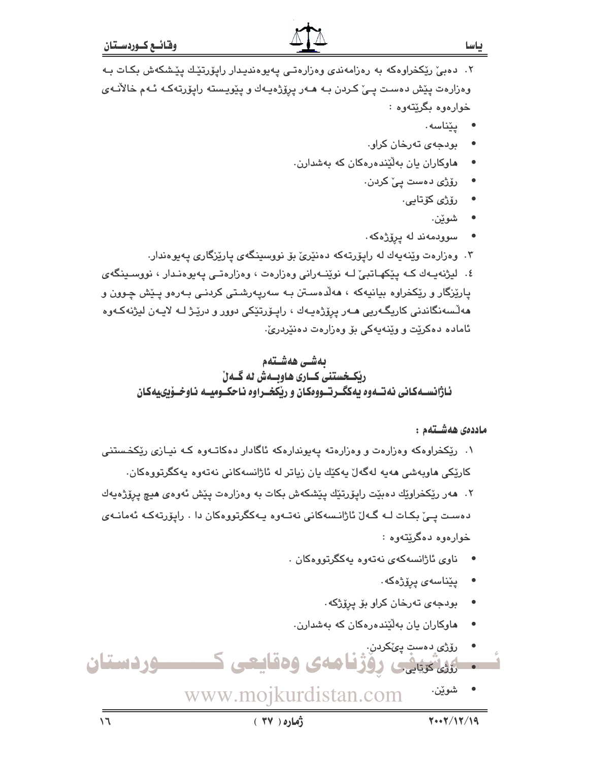۲. دەبى ريكخراوەكە بە رەزامەندى وەزارەتى پەيوەندىيدار رايۆرتيك ييشكەش بكات بـە وەزارەت پێش دەست پـێ کـردن بـﻪ ھـﻪر پرێژەپـﻪك و پێویـسته راپۆرتەكـﻪ ئـﻪم خالأنـﻪي خوار دوه یگرنتهوه :

- يێناسه.
- بودجەي تەرخان كراو.
- هاوکاران یان بهڵێندهرهکان که بهشدارن.
	- رۆژى دەست يې كردن.
		- ر<u>ۆژى</u> كۆتايى.  $\bullet$ 
			- شو ٽن.
	- سوودمەند لە پرۆژەكە.

۰۳ وهزارهت وینهیهك له رایۆرتهكه دهنیری بو نووسینگهی پاریزگاری پهیوهندار. ٤. لیژنهیـهك كـه یێکهـاتبیّ لـه نوێنـهرانی وهزارهت ، وهزارهتـی یهیوهنـدار ، نووسـینگهی یارێزگار و رێِکخراوه بیانیهکه ، ههڵدهستن بـه سهرپهرشتی کردنـی بـهرهو پـێش چـوون و هەڵسەنگاندنى كاریگەریى ھـەر پرۆژەپـەك ، راپـۆرتێكى دوور و درێـژ لـه لاپـەن لیژنەكـەوە ئاماده دهکريت و وينه پهکې يو وهزارهت دهنيردري.

## بەشى ھەشتەم ريڪخستني ڪاري هاوبــهش له گــهلُ ئاژانسـهكاني نهتـهوه يهكگـرتـوومكان و رێكخـراوه نـاحكـوميـه نـاوخـوّيىيهكان

### ماددەى ھەشــتەم :

- ۰۱ ریکخراوهکه وهزارهت و وهزارهته پهیوندارهکه ئاگادار دهکاتـهوه کـه نیـازی ریکخـستنی کارێکی ماويەشی مەيە لەگەل پەکێك پان زياتر لە ئاژانسەکانی نەتەرە پەکگرتورەکان. ٢. هەر رێكخراوێك دەبێت رايۆرتێك يێشكەش بكات بە وەزارەت يێش ئەوەي ھیچ پرۆژەپەك دەست يـێ بکـات لــه گـهلٌ ئاژانـسەکانى نەتــەوە پـەکگرتووەکان دا . راپۆرتەکـه ئەمانــەي
	- خواردوه دهگريتهوه :
	- ناوى ئاژانسەكەي نەتەوە يەكگرتووەكان .
		- پێناسەي پرۆژەكە
		- بودجهى تەرخان كراو بۆ يرۆژكە.
	- هاوکاران يان بهلايندهرهکان که بهشدارن.
		- رۆژى دەست يى*ڭ*كردن.
- ۔ گھانچی روزنامهی وهقایعی ک ــــوردستان
	- شوێن. www.mojkurdistan.com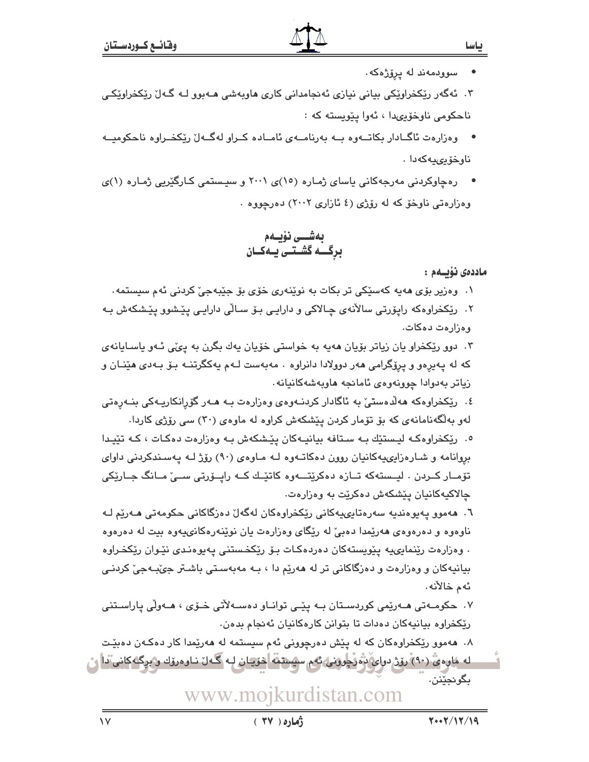- سوودمەند لە پرۆژەكە.
- ۴. ئەگەر رێِکخراوێِکی بیانی نیازی ئەنجامدانی کاری ماوبەشی مـەبور لـە گـەل رێِکخراوێِکـی ناحکومي ناوخوّيىدا ، ئەوا يێويسته که :
- وهزارهت ئاگــادار بكاتـــهوه بـــه بهرنامـــهى ئامــاده كــراو لهگــهلّ ريّكخــراوه ناحكوميــه  $\bullet$ ناوخۆپىمەكەدا .
- رەچاوكردنى مەرجەكانى ياساي ژمـارە (١٥)ى ٢٠٠١ و سيـستمى كـارگێريى ژمـارە (١)ى وهزارهتی ناوخو که له روزی (٤ ئازاری ٢٠٠٢) دهرجووه

بەشــى نۆيـەم برگــه گشــتــ بــهکــان

ماددەى ئۆيىلەم :

- ١. وەزير بۆي ھەيە كەسێكى تر بكات بە نوێنەرى خۆي بۆ جێبەجىٚ كردنى ئەم سيستمە٠ ۲. رێِکخراوهکه رایۆرتی سالآنهی چـالاکی و دارایـی بـۆ سـالّی دارایـی پێشوو پێشکهش بـه وهزارهت دهكات.
- ۴. دوو ريکخراو يان زياتر بۆيان هەيە بە خواستى خۆيان يەك بگرن بە يى، ئـەو ياسـايانەي که له پهیرهو و پرۆگرامی ههر دوولادا دانراوه ٠ مهېهست لـهم پهکگرتنــه بـۆ بـهدی هێنــان و زياتر بەدوادا چوونەوەي ئامانجە ھاويەشەكانيانە.
- ٤. رێکخراوهکه هەڵدەستىٚ بە ئاگادار کردنــەوەی وەزارەت بــە هــەر گۆرانکاریــەکی بنــەرەتی لەو بەلگەنامانەي كە بۆ تۆمار كردن يێشكەش كراوە لە ماوەي (٣٠) سى رۆژى كاردا.

۰. رێِکخراوهکه لیستێك بـه سـتافه بیانیـهکان یێشکهش بـه وهزارهت دهکـات ، کـه تێیـدا بروانامه و شارهزاییپهکانیان روون دهکاتهوه لـه مـاوهی (۹۰) رۆژ لـه یهسـندکردنی داوای تۆمـار کــردن . ليــستەکە تــازە دەکرێتـــەوە کاتێـك کــە رايــۆرتى ســێ مــانگ جــارێکى چالاکيهکانيان يێشکهش دهکرێت به وهزارهت.

٦٠. ﻫﻪﻣﻮﻭ ﭘﻪﭘﻮﻩﻧﺪﭘﻪ ﺳﻪﺭﻩﺗﺎﭘﻮﭘﻪﻛﺎﻧﻲ ﺭێِﻜﺨﺮﺍﻭﻩﻛﺎﻥ ﻟﻪﮔﻪﻝ ﺩﻩﺯﮔﺎﻛﺎﻧﻲ ﺣﻜﻮﻣﻪﺗﻲ ﻫـﻪﺭێﻢ ﻟـﻪ ناوهوه و دهرهوهي ههرپيمدا دهېيّ له ريکاي وهزارهت يان نويندرهکانۍپهوه بيت له دهرهوه . وەزارەت رێنمايىپيە يێويستەكان دەردەكـات بـۆ رێكخـستنى پەيوەنـدى نێـوان رێكخـراوە بیانیهکان و وهزارهت و دهزگاکانی تر له ههرێم دا ، بـه مهبهسـتی باشـتر جیٚبـهجیٚ کردنـی ئەم خالانە.

۰۷ حکومـهتی هـهریمی کوردسـتان بـه ییّـی توانـاو دهسـهلاّتی خــوّی ، هـهولّی یاراسـتنی رێِکخراوه بيانيهکان دەدات تا بتوانن کارەکانيان ئەنجام بدەن.

۸. ههموو رێِکخراوهکان که له پێش دهرچوونی ئهم سیستمه له ههرێِمدا کار دهکـهن دهبێـت له ماوهي (۹۰) روژ دوای به رچوونی تهم سیستنه اخویان لـه گـه ل نـاوهروك و برگـه كانی دا ن بگونجێنن.

www.mojkurdistan.com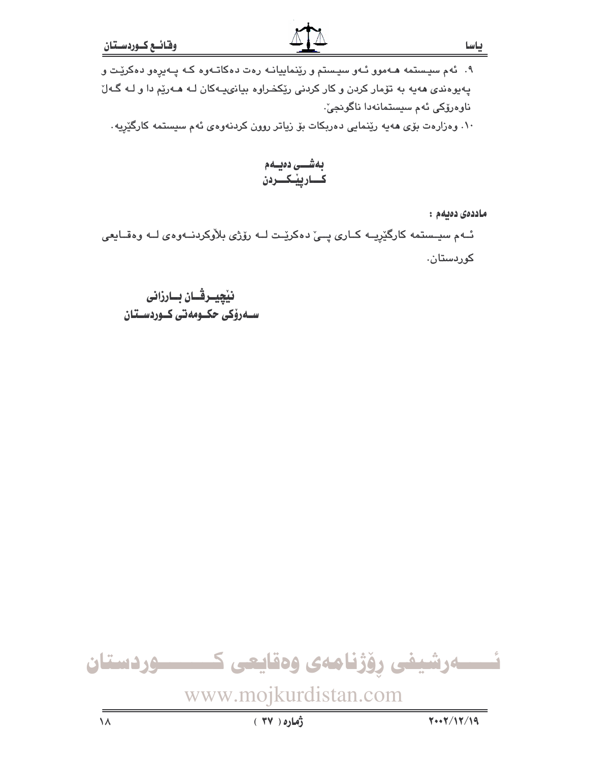بەشـــى دەيــەم .<br>كـــارييكـــردن

ماددەى دەيەم :

ئـهم سيـستمه كارگێِرِيــه كــارى پــێ دەكرێـت لــه رۆژى بلاْوكردنــهوهى لــه وەقــايعى کوردستان.

نیچیــرڤــان بــارزانی سـەرۆكى حكـومەتى كـوردسـتان

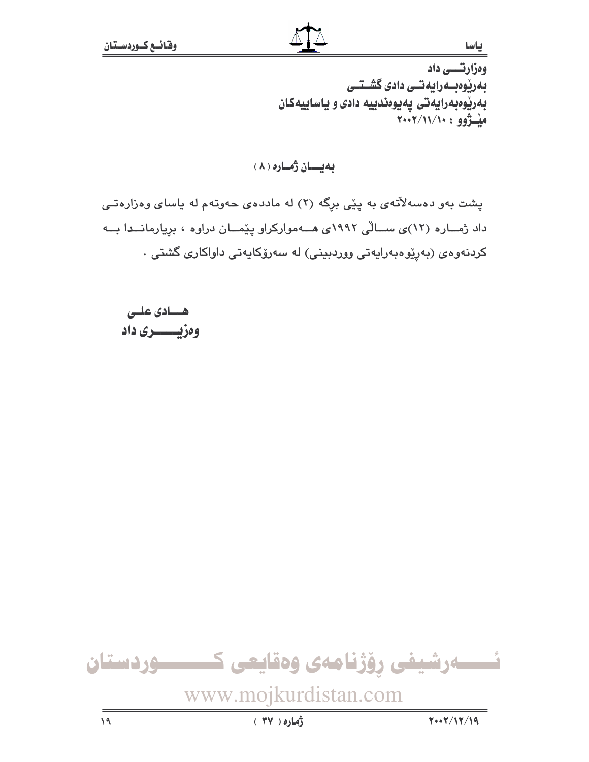وەزارتسى داد بەرپوەبەرايەتىي دادى گشىتى بهرێوەبەرايەتى پەيوەندييە دادى و ياساييەكان منشژوو: ۲۰۰۲/۱۱/۱۰

بەيسان ژمارە (٨)

پشت بهو دهسهلأتهى به پێی برِگه (۲) له ماددهى حهوتهم له ياساى وهزارهتـی داد ژماره (۱۲)ی سالی ۱۹۹۲ی هـه موارکراو پیّمان دراوه ، بریارمانـدا بـه كردنەوەي (بەرێوەبەرايەتى ووردىينى) لە سەرۆكايەتى داواكارى گشتى .

هسسادى علىي وەزيىسىرى داد

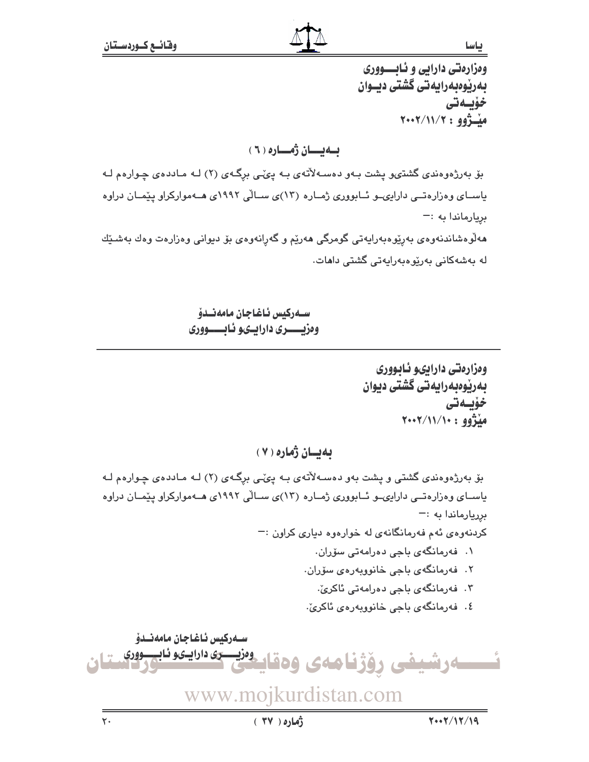وهزارهتي دارابي و ئـابــــووري بهریوهبهرایهتی گشتی دیسوان خۆيىدتى  $Y \cdot Y / 11 / 7 : 99$  مَلْسِرْوُو

بهيان رهاره (٢)

بو بهرژهوهندي گشتيو پشت بـهو دهسـهلاتهي بـه پيمي برگـهي (٢) لـه مـاددهي چـوارهم لـه یاسـای وهزارهتــی دارایىــو ئــابووری ژمــاره (١٣)ى ســالّى ١٩٩٢ى هــهمواركراو يێمـان دراوه بريارماندا به :-

ھەلوەشاندنەوەي بەرىيوەبەرايەتى گومرگى ھەرىم و گەرانەوەي بۆ ديوانى وەزارەت وەك بەشىيك لە پەشەكانى پەرتومبەرايەتى گشتى داھات.

> ســەركيس ئـاغـاجـان مـامەنــدۆ وهزييــــرى داراييـىو ئـابـــــوورى

> > وهزارهتي دارايىو ئـابـووري بەريوەبەرايەتى گشتى ديوان خۆيىدتى  $Y**Y/11/1*: g\hat{j}$ مَلْزُوو

بەيسان ژمارە ( ٧ )

بۆ بەرژەوەندى گشتى و پشت بەو دەسـەلأتەي بـە پىُمى برگـەي (٢) لـە مـاددەي چـوارەم لـە پاسـای وهزارهتــی دارایىــو ئــابوورى ژمــاره (۱۳)ى ســالّى ۱۹۹۲ى هــهمواركراو پێمــان دراوه  $-$ : بریارماندا به

کردنهوهی ئهم فهرمانگانهی له خوارهوه دیاری کراون :-

- ١. فەرمانگەي باجى دەرامەتى سۆران.
- ٢. فەرمانگەي باجى خانوويەرەي سۆران.
	- ۴. فەرمانگەي باجى دەرامەتى ئاكرىّ.
	- ٤. فەرمانگەي باجى خانوويەرەي ئاكرىٰ.

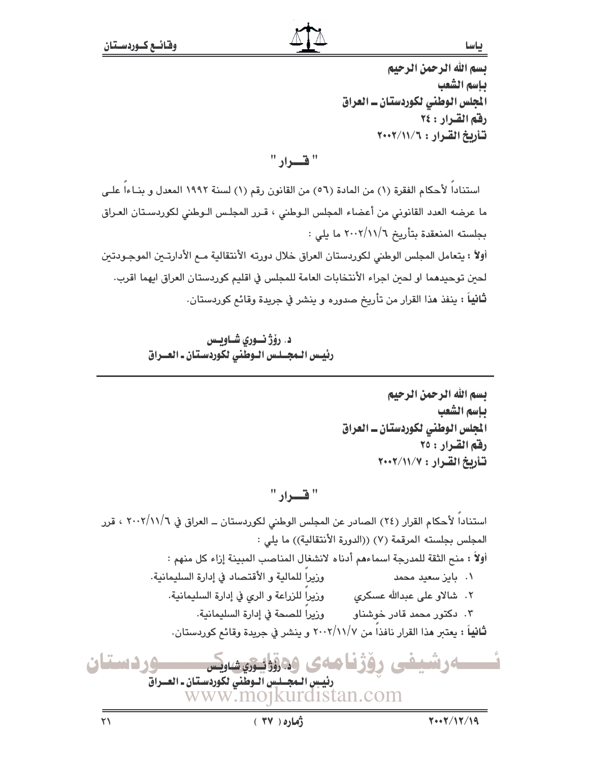### <u>یاسا کارک است.</u> ا من المستخدم المستخدم على المستخدم المستخدم المستخدم المستخدم المستخدم المستخدم المستخدم المستخدم المستخدم ال

بسم الله الرحمن الرحيم بإسم الشعب المجلس الوطني لكوردستان ـ العراق رقم القرار : ٢٤ تأريخ القرار: ٢٠٠٢/١١/٦

" قسوار "

استناداً لأحكام الفقرة (١) من المادة (٥٦) من القانون رقم (١) لسنة ١٩٩٢ المعدل و بنـاءاً علـي ما عرضه العدد القانوني من أعضاء المجلس الـوطني ، قـرر المجلـس الـوطني لكوردسـتان العـراق بجلسته المنعقدة بتأريخ ٢٠٠٢/١١/٦ ما يلي : أولاً : يتعامل المجلس الوطني لكوردستان العراق خلال دورته الأنتقالية مـع الأدارتـين الموجـودتين لحين توحيدهما او لحين اجراء الأنتخابات العامة للمجلس في اقليم كوردستان العراق ايهما اقرب. **ثانياً :** ينفذ هذا القرار من تأريخ صدوره و ينشر في جريدة وقائع كوردستان.

> د. رۆژنسورى شاويىس رئيس المجلس الوطني لكوردستان ـ العـراق

> > بسم الله الرحمن الرحيم بإسم الشعب الجلس الوطني لكوردستان ـ العراق رقم القـرار : ٢٥ تأريخ القرار : ٢٠٠٢/١١/٧

" قسوار "

او<del>یس و</del>رداستان رۆژفا ھەي 30 رۇيۇيش يىس حاو شعف www.mojkurdistan.com استناداً لأحكام القرار (٢٤) الصادر عن المجلس الوطني لكوردستان ــ العراق في ٦٠٠٢/١١/٦ ، قرر المجلس بجلسته المرقمة (٧) ((الدورة الأنتقالية)) ما يلي : أولاً : منح الثقة للمدرجة اسماءهم أدناه لانشغال المناصب المبينة إزاء كل منهم : الية و الأقتصاد في إدارة السليمانية. ۰۱ بایز سعید محمد وزیراً للم ٢. شالاو على عبدالله عسكري وزيراً للزراعة و الري في إدارة السليمانية. او وزيراً للصحة في إدارة السليمانية. ۰۳ د<mark>کتور محمد قادر خوشذ</mark> ثانياً : يعتبر هذا القرار نافذاً من ٢٠٠٢/١١/٧ و ينشر في جريدة وقائع كوردستان. رئيسٍ الـمجــلـسٍ الـوطني لكوردسـتان ـ العــراق

Ĉ.

÷

ياس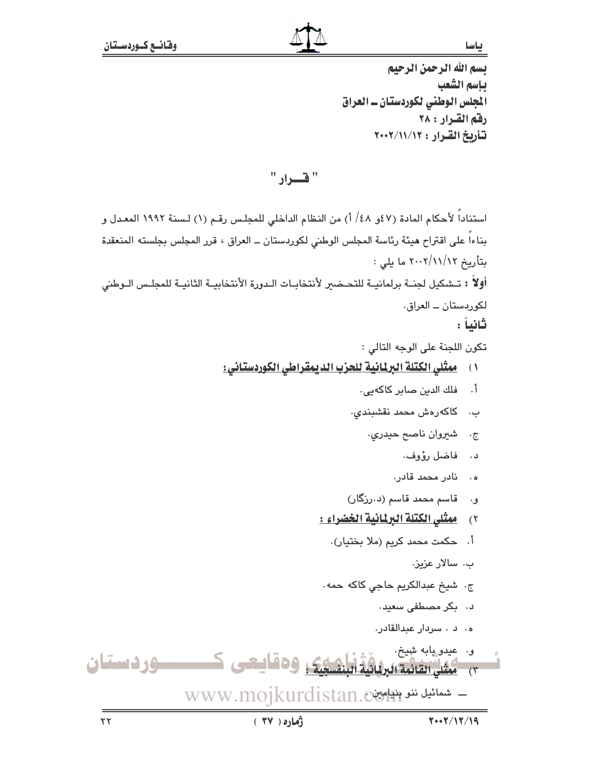باسا

بسم الله الرحمن الرحيم ياسم الشعب المجلس الوطني لكوردستان ــ العراق رفم القرار : ٢٨ تأريخ القرار: ٢٠٠٢/١١/١٢

" فسراد "

استناداً لأحكام المادة (٤٧ه ٤٨/ أ) من النظام الداخلي للمجلس رقـم (١) لـسنة ١٩٩٢ المعـدل و بِناءاً على اقتراح هيئة رئاسة المجلس الوطني لكوردستان ــ العراق ، قرر المجلس بِجلسته المنعقدة بتأريخ ٢٠٠٢/١١/١٢ ما بلي : أولاً : تـشكيل لجنــة برلمانيــة للتحـضير لأنتخابــات الـدورة الأنتخابيــة الثانيــة للمجلـس الــوطني لکوردستان ــ العراق. ثانياً :

تكون اللجنة على الوجه التالي :

- ١) معقلى الكتلة البرلمانية للحزب الديعقراطي الكوردستاني :
	- فلك الدين صابر كاكهيي.  $\cdot$  ,  $\mathfrak{f}$
	- ب. كاكەرەش محمد نقشبندى.
		- ج. شيروان ناصح حيدري.
			- د. فاضل رؤوف.
			- ه. نادر محمد قادر.
	- و. قاسم محمد قاسم (د.رزگار)
	- ٢) معثلى الكتلة البرلمانية الخضراء:
		- أ. حكمت محمد كريم (ملا بختيار).
			- ب. سالار عزيز.
	- ج. شيخ عبدالکريم حاجي کاکه حمه.
		- د. بكر مصطفى سعيد.
		- ه. د . سردار عبدالقادر.

و. عيدو پابه شپيخ. ـــودستان وەقايچى ك ٣) مَعْشَا القَانِّمَةِ البِرْيَانِيَّةِ <mark>البِنْمَسِيِّيَ</mark> - شمائيل ننو بنياسي (www.mojkurdistan.c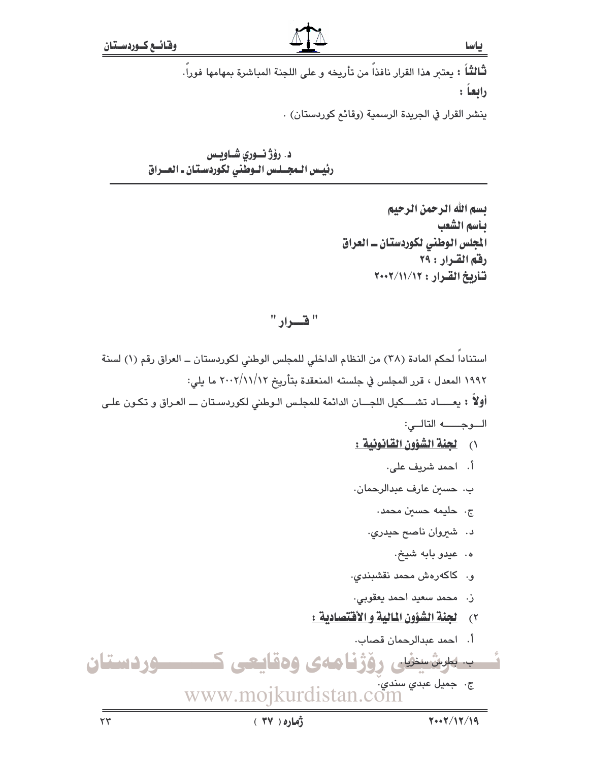**ثْـالثْـ**اً : يعتـر هذا القرار نافذاً من تأريخه و على اللجنة المباشرة بمهامها فوراً . رابعاً :

ينشر القرار في الجريدة الرسمية (وقائم كوردستان) .

د. رۆژنسورى شاويىس رئيس الـمجــلـس الـوطني لكوردسـتان ـ العــراق

> بسم الله الرحمن الرحيم يأسم الشعب الجلس الوطني لكوردستان ــ العراق رفق القرار: ٢٩ تشأديخ القيرار : ٢٠٠٢/١١/١٢

 $"$  فسراد $"$ 

استناداً لحكم المادة (٣٨) من النظام الداخلي للمجلس الوطني لكوردستان ــ العراق رقم (١) لسنة ١٩٩٢ المعدل ، قرر المجلس في جلسته المنعقدة بتأريخ ٢٠٠٢/١١/١٢ ما يلي: أولاً : يعـــــاد تشــــكيل اللجـــان الدائمة للمجلـس الـوطني لكوردسـتان ـــ العـراق و تكـون علـي الوجها التالبي: ١) لحنة الشؤون القانونية : اً. احمد شريف علي. ب. حسين عارف عبدالرحمان. ج. حليمه حسين محمد. د. شیروان ناصح حیدری. ه. عيدو بابه شيخ. و. كاكەرەش محمد نقشىبندى. ن. - محمد سعيد احمد يعقوبي. ٢) لجنة الشؤون المالية والأقتصادية : أ. احمد عبدالرحمان قصاب. ۔ موشینفیل روزنامهی وهقایعی ک ـــودستان ج. جميل عبدي سندي. www.mojkurdistan.com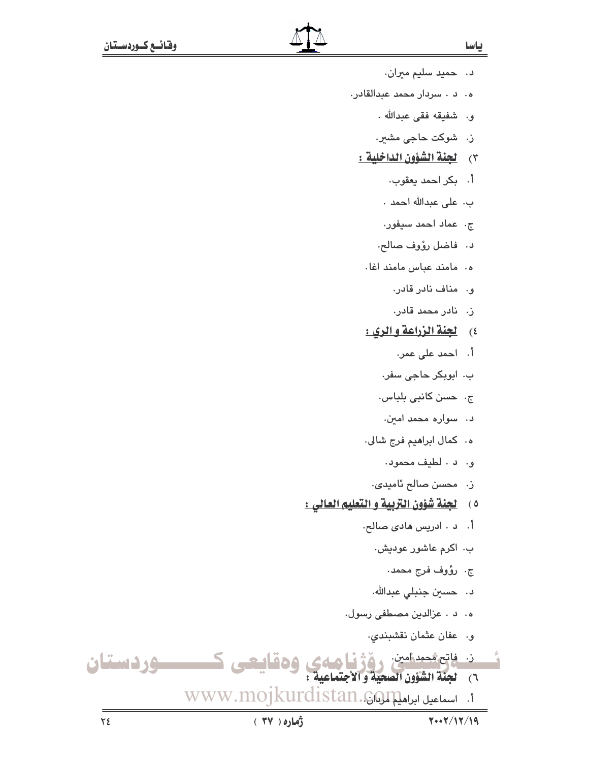- د. حميد سليم ميران.
- ه . د . سردار محمد عبدالقادر.
	- و. شفيقه فقي عبدالله .
	- ز. شوکت حاجی مشیر.
	- ٣) لجنة الشؤون الداخلية :
		- أ. بكر احمد يعقوب.
		- ب، على عبدالله احمد .
		- ج. عماد احمد سيفور.
		- د. فاضل رؤوف صالح.
	- ه. مامند عباس مامند اغا.
		- و. مناف نادر قادر.
		- ز. نادر محمد قادر.
	- ٤) لجنة الزراعة والري :
		- اً. احمد على عمر.
		- ب، ابوبکر حاجی سفر،
		- ج. حسن کانبی بلباس.
		- د. -سواره محمد امین.
	- ه. كمال ابراهيم فرج شالي.
		- و. د . لطيف محمود.
		- ز. محسن صالح ئامي*دى*.
- ه ) في التوبية في التوبية و التعليم العالي :
	- أ. د . ادريس هادي صالح.
		- ب. اکرم عاشور عودیش.
			- ج. رؤوف فرج محمد.
		- د. حسين جنبلي عبدالله.
	- ه. د . عزالدين مصطفى رسول.
		- و. عفان عثمان نقشبندی.
- ن فاتح هجمد امين. وفَوّْاً وردستان وهقا ٦) لجنة الشؤون الصحية و الأجت 1. اسماعيل ابراهية المكان WWW.mojkurdistan.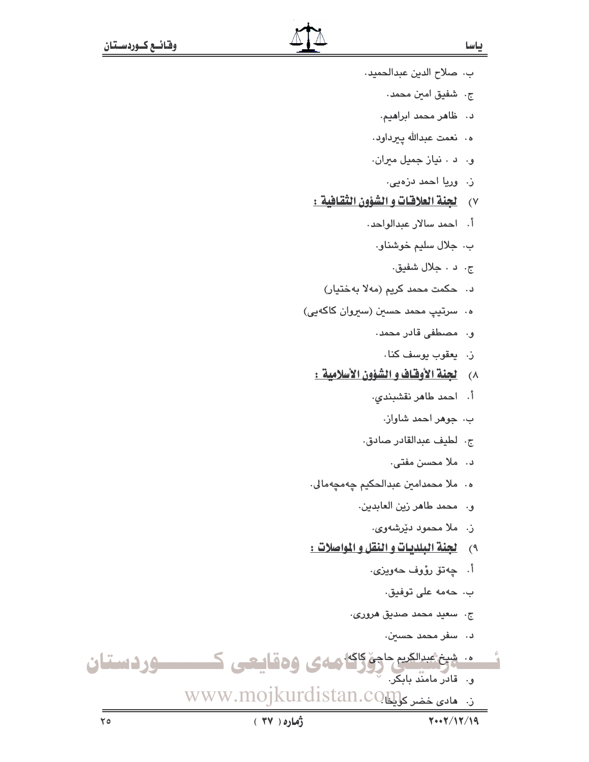- ب. صلاح الدين عبدالحميد.
	- ج. شفيق امين محمد.
	- د . ظاهر محمد ابراهیم.
- ه. نعمت عبدالله ييرداود.
- و. د . نياز جميل ميران.
	- ز. وريا احمد دزەيى.
- ٧) لحنة العلاقات و الشؤون الثقافية :
	- أ. [حمد سالار عبدالواحد.
		- ب. جلال سليم خوشناو.
			- ج. د . جلال شفيق.
	- د. حكمت محمد كريم (مهلا بهختيار)
- ه. سرتيپ محمد حسين (سيروان کاکهيی)
	- و. مصطفى قادر محمد.
		- ز. يعقوب يوسف كنا.
	- ٨) لجنة الأوقاف و الشؤون الأسلامية :
		- أ. احمد طاهر نقشبندي.
			- ب، جوهر احمد شاواز.
		- ج. لطيف عبدالقادر صادق.
			- د. ً ملا محسن مفتی.
	- ه. ملا محمدامين عبدالحكيم چهمچهمالى.
		- و. محمد طاهر زين العابدين.
			- ز. ملا محمود دێرشەوي.
	- ٩) لجنة البلديات و النقل و المواصلات :
		- اً. ڇەتۆ رؤوف ھەويزى.
			- ب. حەمە على توفيق.
		- ج. سعيد محمد صديق *هروري.* 
			- د، اسفر محمد حسين.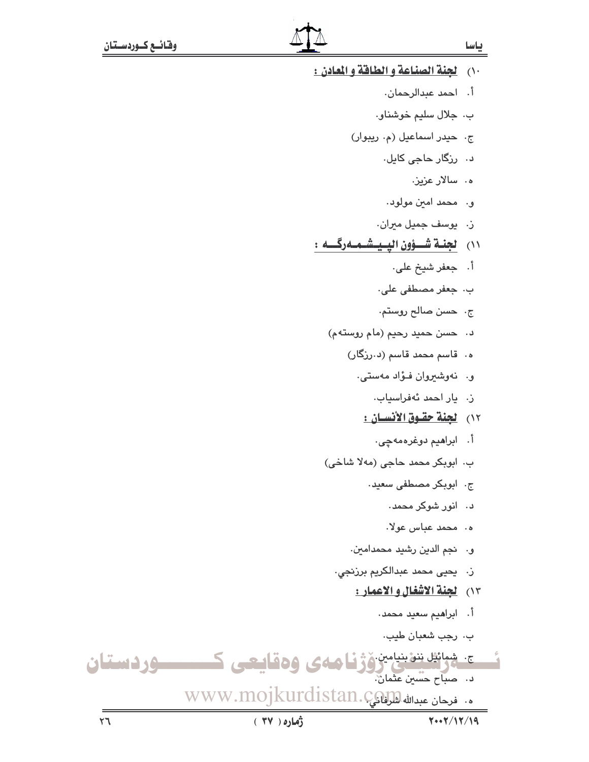١٠) لجنة الصناعة والطاقة والمعادن: أ. احمد عبدالرحمان. ب. جلال سليم خوشناو. ج. حيدر اسماعيل (م. ريبوار) د، ارزگار حاجی کابِل. ه، اسالار عزیز. ق- محمد امين مولود. ز. يوسف جميل ميران. ١١) لجنة شؤون اليدشمه ركم: أ. جعفر شيخ علي. ب، جعفر مصطفى على، ج. حسن صالح روستم. د. حسن حميد رحيم (مام روستهم) ه. قاسم محمد قاسم (د .رزگار) و. نەوشىيروان فىؤاد مەستى. ن. - يار احمد ئەفراسياب. ١٢) ل<u>جنة حقـوق الأنسـان :</u> اً. ابراھيم دوغرەمەچى٠ ب. ابوبکر محمد حاجي (مهلا شاخي) ج. ابوبکر مصطفی سعید. د. انور شوکر محمد. ه. محمد عباس عولا. و. - نجم الدين رشيد محمدامين. ن. يحيى محمد عبدالكريم برزنجي. ١٣) لجنة الاشغال و الاعمار: اً. ابراھيم سعيد محمد . ب. رجب شعبان طيب. ج شبابی تنفیتیامین وَژْنامەی وەقايىمى كىسىسسوردىستان ر)<br>د. صباح حسْین عثمان. م. فرحان عبدالله لمثل WWW.mojkurdistan.c